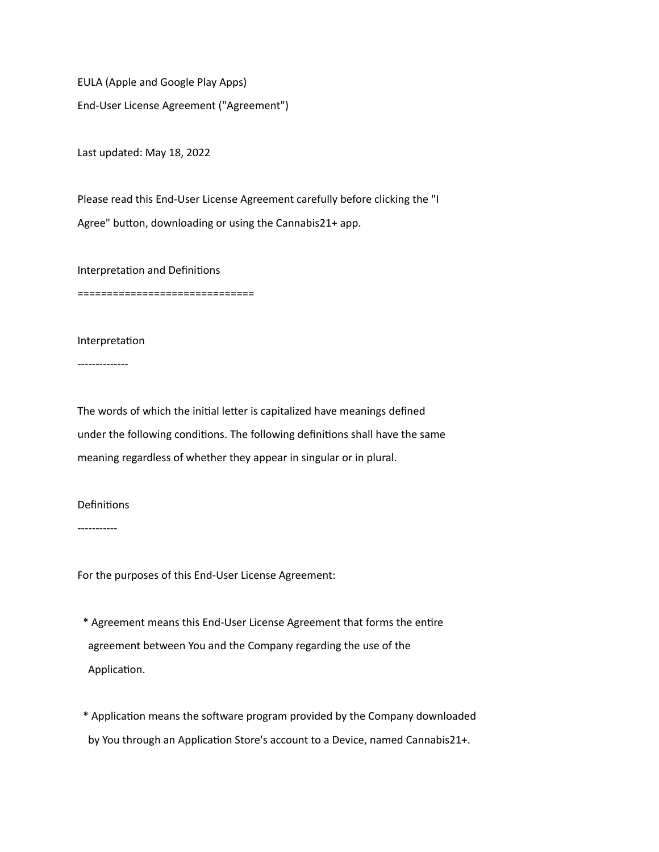EULA (Apple and Google Play Apps) End-User License Agreement ("Agreement")

Last updated: May 18, 2022

Please read this End-User License Agreement carefully before clicking the "I Agree" button, downloading or using the Cannabis21+ app.

Interpretation and Definitions

==============================

Interpretation

--------------

The words of which the initial letter is capitalized have meanings defined under the following conditions. The following definitions shall have the same meaning regardless of whether they appear in singular or in plural.

Definitions

-----------

For the purposes of this End-User License Agreement:

 \* Agreement means this End-User License Agreement that forms the entire agreement between You and the Company regarding the use of the Application.

 \* Application means the software program provided by the Company downloaded by You through an Application Store's account to a Device, named Cannabis21+.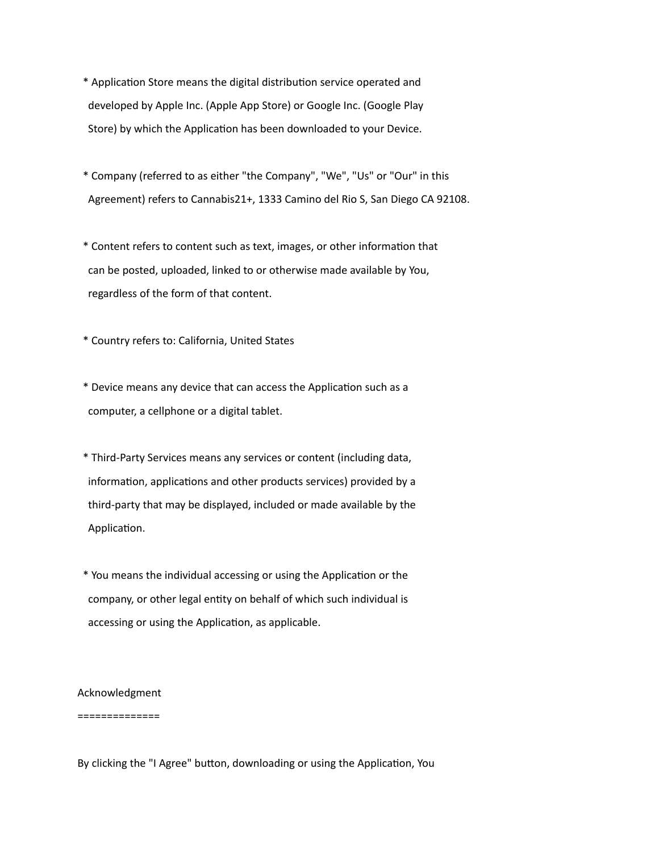\* Application Store means the digital distribution service operated and developed by Apple Inc. (Apple App Store) or Google Inc. (Google Play Store) by which the Application has been downloaded to your Device.

- \* Company (referred to as either "the Company", "We", "Us" or "Our" in this Agreement) refers to Cannabis21+, 1333 Camino del Rio S, San Diego CA 92108.
- \* Content refers to content such as text, images, or other information that can be posted, uploaded, linked to or otherwise made available by You, regardless of the form of that content.

\* Country refers to: California, United States

- \* Device means any device that can access the Application such as a computer, a cellphone or a digital tablet.
- \* Third-Party Services means any services or content (including data, information, applications and other products services) provided by a third-party that may be displayed, included or made available by the Application.
- \* You means the individual accessing or using the Application or the company, or other legal entity on behalf of which such individual is accessing or using the Application, as applicable.

Acknowledgment

==============

By clicking the "I Agree" button, downloading or using the Application, You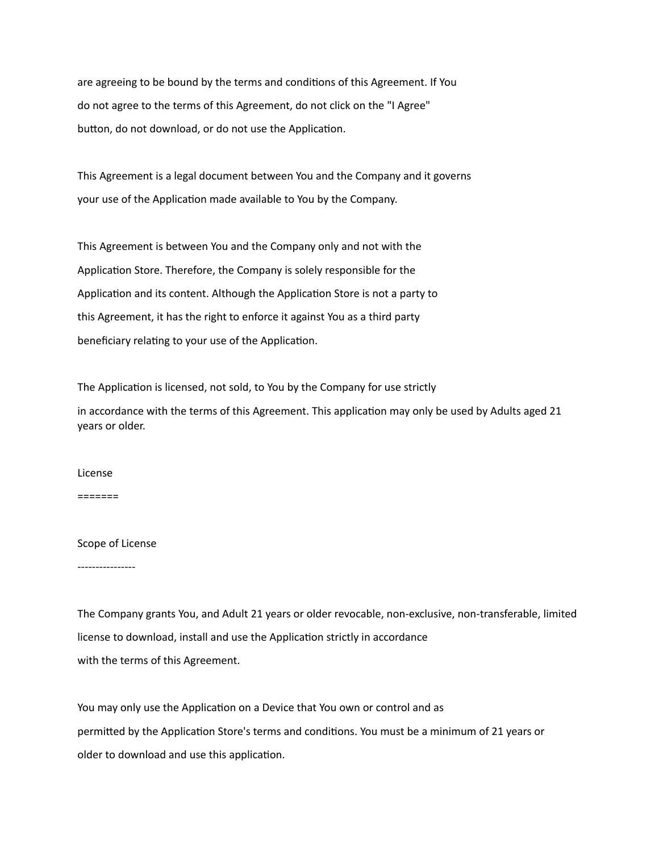are agreeing to be bound by the terms and conditions of this Agreement. If You do not agree to the terms of this Agreement, do not click on the "I Agree" button, do not download, or do not use the Application.

This Agreement is a legal document between You and the Company and it governs your use of the Application made available to You by the Company.

This Agreement is between You and the Company only and not with the Application Store. Therefore, the Company is solely responsible for the Application and its content. Although the Application Store is not a party to this Agreement, it has the right to enforce it against You as a third party beneficiary relating to your use of the Application.

The Application is licensed, not sold, to You by the Company for use strictly in accordance with the terms of this Agreement. This application may only be used by Adults aged 21 years or older.

# License

=======

# Scope of License

----------------

The Company grants You, and Adult 21 years or older revocable, non-exclusive, non-transferable, limited license to download, install and use the Application strictly in accordance with the terms of this Agreement.

You may only use the Application on a Device that You own or control and as permitted by the Application Store's terms and conditions. You must be a minimum of 21 years or older to download and use this application.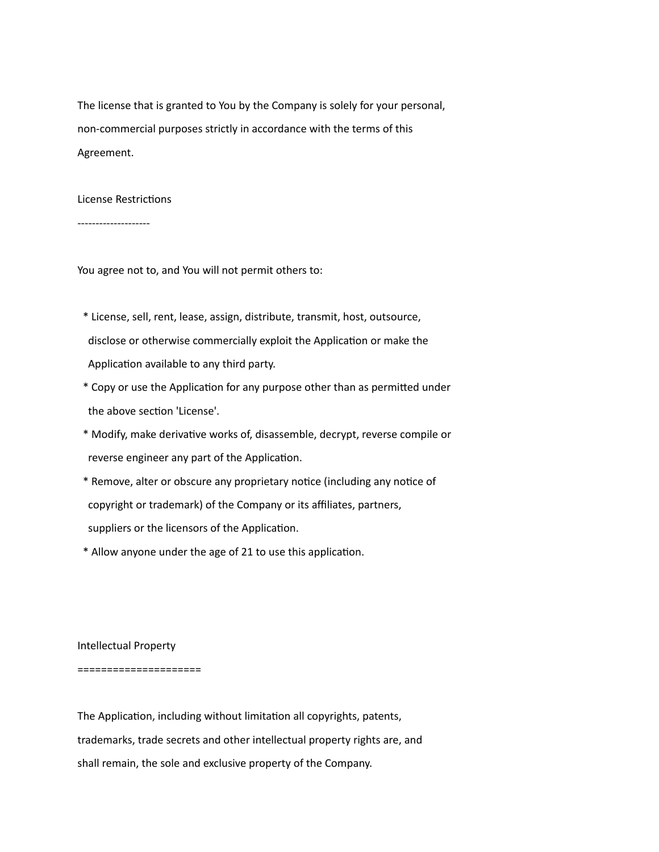The license that is granted to You by the Company is solely for your personal, non-commercial purposes strictly in accordance with the terms of this Agreement.

# License Restrictions

--------------------

You agree not to, and You will not permit others to:

- \* License, sell, rent, lease, assign, distribute, transmit, host, outsource, disclose or otherwise commercially exploit the Application or make the Application available to any third party.
- \* Copy or use the Application for any purpose other than as permitted under the above section 'License'.
- \* Modify, make derivative works of, disassemble, decrypt, reverse compile or reverse engineer any part of the Application.
- \* Remove, alter or obscure any proprietary notice (including any notice of copyright or trademark) of the Company or its affiliates, partners,
- suppliers or the licensors of the Application.
- \* Allow anyone under the age of 21 to use this application.

Intellectual Property

### =====================

The Application, including without limitation all copyrights, patents, trademarks, trade secrets and other intellectual property rights are, and shall remain, the sole and exclusive property of the Company.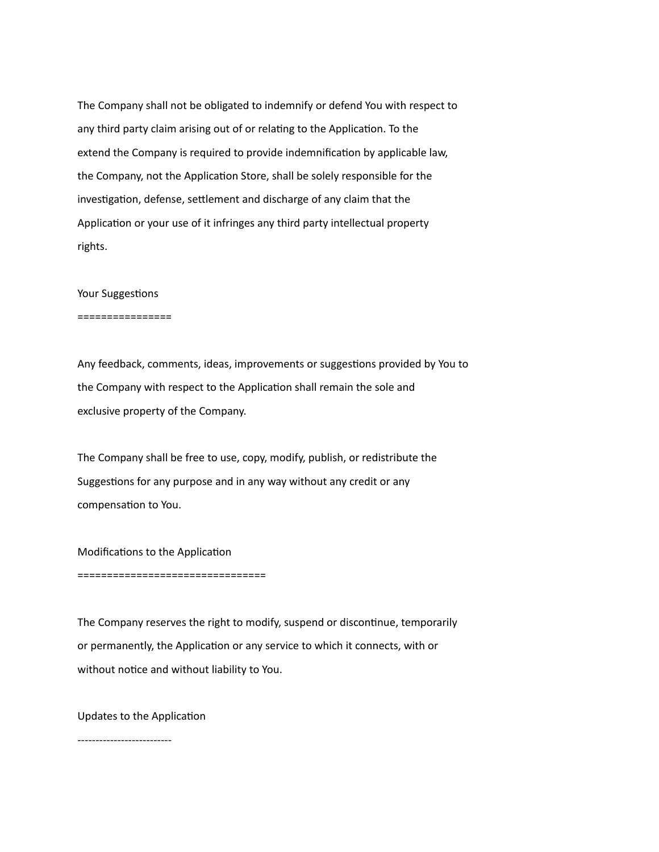The Company shall not be obligated to indemnify or defend You with respect to any third party claim arising out of or relating to the Application. To the extend the Company is required to provide indemnification by applicable law, the Company, not the Application Store, shall be solely responsible for the investigation, defense, settlement and discharge of any claim that the Application or your use of it infringes any third party intellectual property rights.

## Your Suggestions

================

Any feedback, comments, ideas, improvements or suggestions provided by You to the Company with respect to the Application shall remain the sole and exclusive property of the Company.

The Company shall be free to use, copy, modify, publish, or redistribute the Suggestions for any purpose and in any way without any credit or any compensation to You.

Modifications to the Application

================================

The Company reserves the right to modify, suspend or discontinue, temporarily or permanently, the Application or any service to which it connects, with or without notice and without liability to You.

Updates to the Application

--------------------------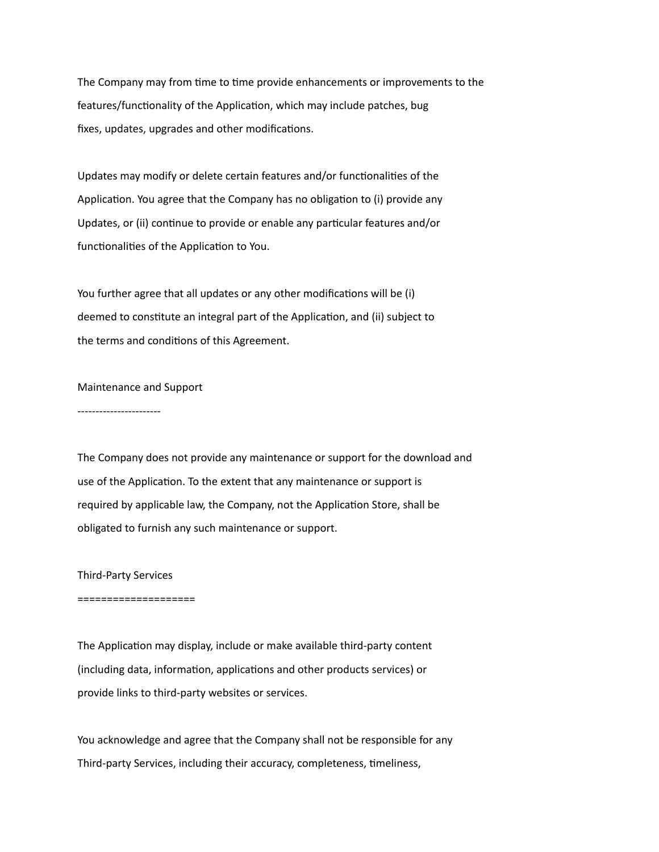The Company may from time to time provide enhancements or improvements to the features/functionality of the Application, which may include patches, bug fixes, updates, upgrades and other modifications.

Updates may modify or delete certain features and/or functionalities of the Application. You agree that the Company has no obligation to (i) provide any Updates, or (ii) continue to provide or enable any particular features and/or functionalities of the Application to You.

You further agree that all updates or any other modifications will be (i) deemed to constitute an integral part of the Application, and (ii) subject to the terms and conditions of this Agreement.

## Maintenance and Support

-----------------------

The Company does not provide any maintenance or support for the download and use of the Application. To the extent that any maintenance or support is required by applicable law, the Company, not the Application Store, shall be obligated to furnish any such maintenance or support.

## Third-Party Services

### ====================

The Application may display, include or make available third-party content (including data, information, applications and other products services) or provide links to third-party websites or services.

You acknowledge and agree that the Company shall not be responsible for any Third-party Services, including their accuracy, completeness, timeliness,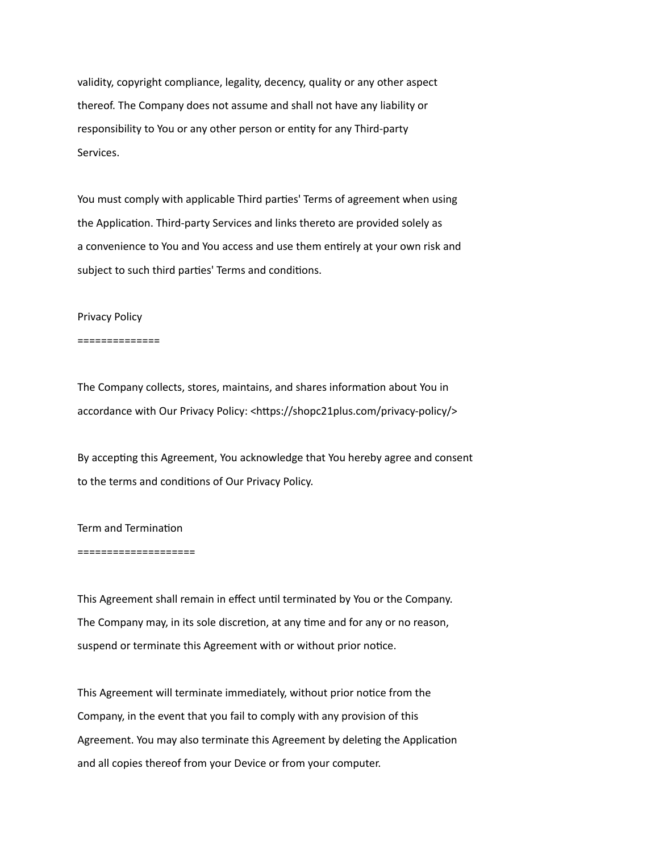validity, copyright compliance, legality, decency, quality or any other aspect thereof. The Company does not assume and shall not have any liability or responsibility to You or any other person or entity for any Third-party Services.

You must comply with applicable Third parties' Terms of agreement when using the Application. Third-party Services and links thereto are provided solely as a convenience to You and You access and use them entirely at your own risk and subject to such third parties' Terms and conditions.

### Privacy Policy

### ==============

The Company collects, stores, maintains, and shares information about You in accordance with Our Privacy Policy: <https://shopc21plus.com/privacy-policy/>

By accepting this Agreement, You acknowledge that You hereby agree and consent to the terms and conditions of Our Privacy Policy.

# Term and Termination

### ====================

This Agreement shall remain in effect until terminated by You or the Company. The Company may, in its sole discretion, at any time and for any or no reason, suspend or terminate this Agreement with or without prior notice.

This Agreement will terminate immediately, without prior notice from the Company, in the event that you fail to comply with any provision of this Agreement. You may also terminate this Agreement by deleting the Application and all copies thereof from your Device or from your computer.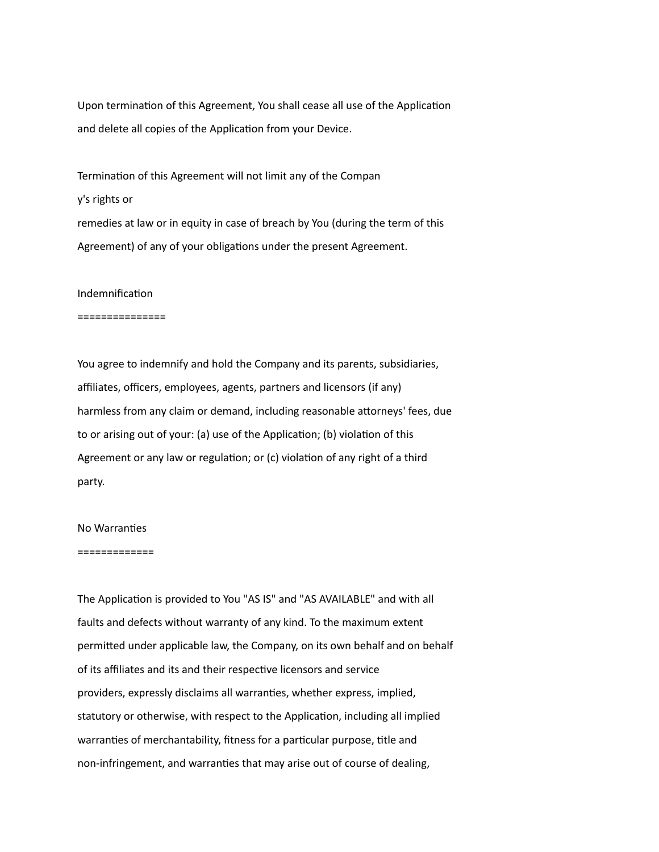Upon termination of this Agreement, You shall cease all use of the Application and delete all copies of the Application from your Device.

Termination of this Agreement will not limit any of the Compan y's rights or remedies at law or in equity in case of breach by You (during the term of this Agreement) of any of your obligations under the present Agreement.

## Indemnification

#### ===============

You agree to indemnify and hold the Company and its parents, subsidiaries, affiliates, officers, employees, agents, partners and licensors (if any) harmless from any claim or demand, including reasonable attorneys' fees, due to or arising out of your: (a) use of the Application; (b) violation of this Agreement or any law or regulation; or (c) violation of any right of a third party.

# No Warranties

#### =============

The Application is provided to You "AS IS" and "AS AVAILABLE" and with all faults and defects without warranty of any kind. To the maximum extent permitted under applicable law, the Company, on its own behalf and on behalf of its affiliates and its and their respective licensors and service providers, expressly disclaims all warranties, whether express, implied, statutory or otherwise, with respect to the Application, including all implied warranties of merchantability, fitness for a particular purpose, title and non-infringement, and warranties that may arise out of course of dealing,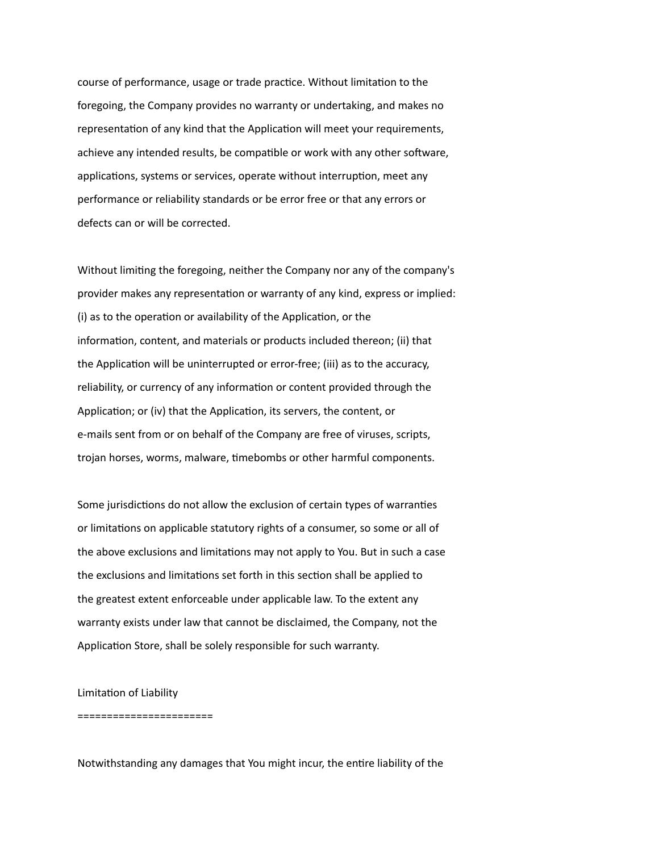course of performance, usage or trade practice. Without limitation to the foregoing, the Company provides no warranty or undertaking, and makes no representation of any kind that the Application will meet your requirements, achieve any intended results, be compatible or work with any other software, applications, systems or services, operate without interruption, meet any performance or reliability standards or be error free or that any errors or defects can or will be corrected.

Without limiting the foregoing, neither the Company nor any of the company's provider makes any representation or warranty of any kind, express or implied: (i) as to the operation or availability of the Application, or the information, content, and materials or products included thereon; (ii) that the Application will be uninterrupted or error-free; (iii) as to the accuracy, reliability, or currency of any information or content provided through the Application; or (iv) that the Application, its servers, the content, or e-mails sent from or on behalf of the Company are free of viruses, scripts, trojan horses, worms, malware, timebombs or other harmful components.

Some jurisdictions do not allow the exclusion of certain types of warranties or limitations on applicable statutory rights of a consumer, so some or all of the above exclusions and limitations may not apply to You. But in such a case the exclusions and limitations set forth in this section shall be applied to the greatest extent enforceable under applicable law. To the extent any warranty exists under law that cannot be disclaimed, the Company, not the Application Store, shall be solely responsible for such warranty.

Limitation of Liability

=======================

Notwithstanding any damages that You might incur, the entire liability of the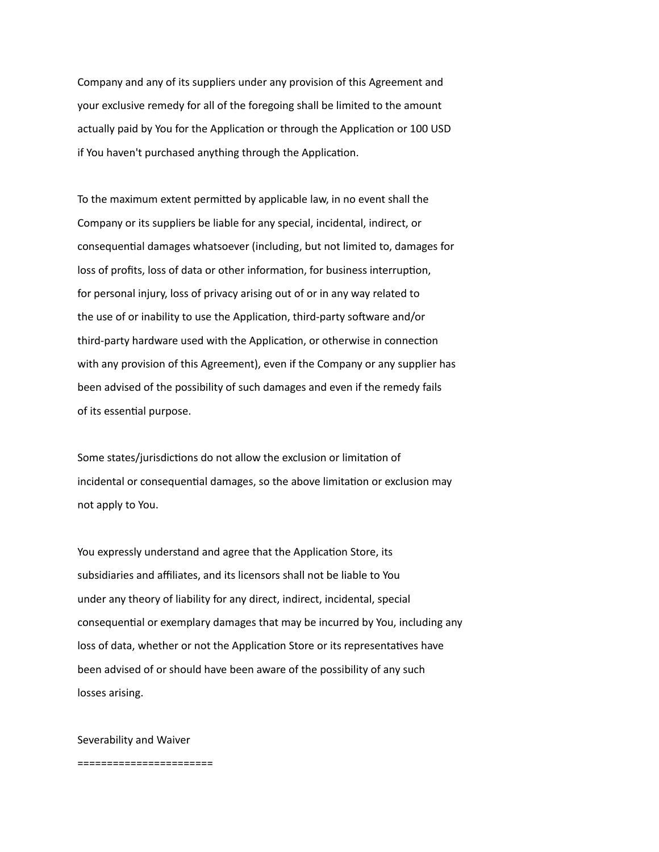Company and any of its suppliers under any provision of this Agreement and your exclusive remedy for all of the foregoing shall be limited to the amount actually paid by You for the Application or through the Application or 100 USD if You haven't purchased anything through the Application.

To the maximum extent permitted by applicable law, in no event shall the Company or its suppliers be liable for any special, incidental, indirect, or consequential damages whatsoever (including, but not limited to, damages for loss of profits, loss of data or other information, for business interruption, for personal injury, loss of privacy arising out of or in any way related to the use of or inability to use the Application, third-party software and/or third-party hardware used with the Application, or otherwise in connection with any provision of this Agreement), even if the Company or any supplier has been advised of the possibility of such damages and even if the remedy fails of its essential purpose.

Some states/jurisdictions do not allow the exclusion or limitation of incidental or consequential damages, so the above limitation or exclusion may not apply to You.

You expressly understand and agree that the Application Store, its subsidiaries and affiliates, and its licensors shall not be liable to You under any theory of liability for any direct, indirect, incidental, special consequential or exemplary damages that may be incurred by You, including any loss of data, whether or not the Application Store or its representatives have been advised of or should have been aware of the possibility of any such losses arising.

Severability and Waiver

=======================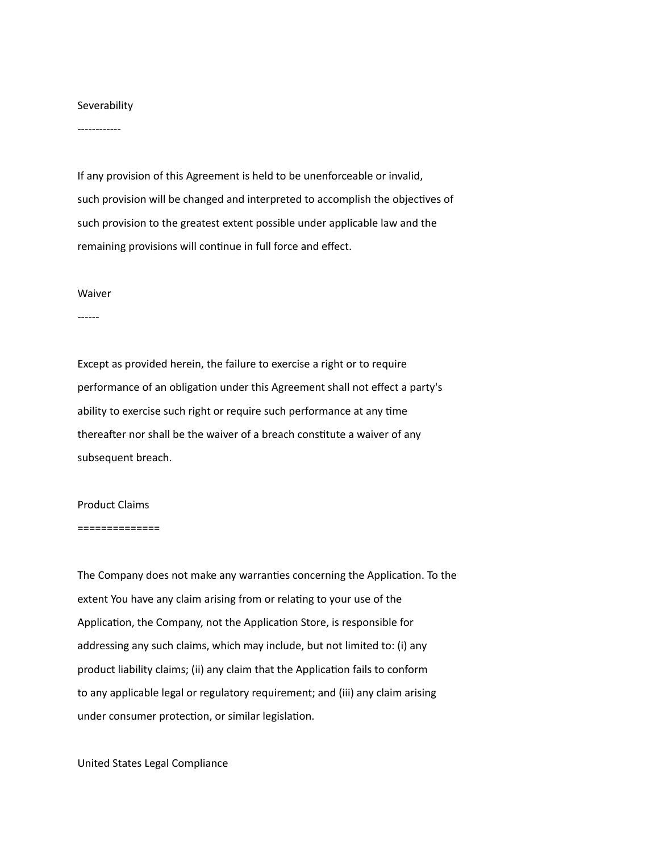# Severability

------------

If any provision of this Agreement is held to be unenforceable or invalid, such provision will be changed and interpreted to accomplish the objectives of such provision to the greatest extent possible under applicable law and the remaining provisions will continue in full force and effect.

### Waiver

------

Except as provided herein, the failure to exercise a right or to require performance of an obligation under this Agreement shall not effect a party's ability to exercise such right or require such performance at any time thereafter nor shall be the waiver of a breach constitute a waiver of any subsequent breach.

### Product Claims

#### ==============

The Company does not make any warranties concerning the Application. To the extent You have any claim arising from or relating to your use of the Application, the Company, not the Application Store, is responsible for addressing any such claims, which may include, but not limited to: (i) any product liability claims; (ii) any claim that the Application fails to conform to any applicable legal or regulatory requirement; and (iii) any claim arising under consumer protection, or similar legislation.

United States Legal Compliance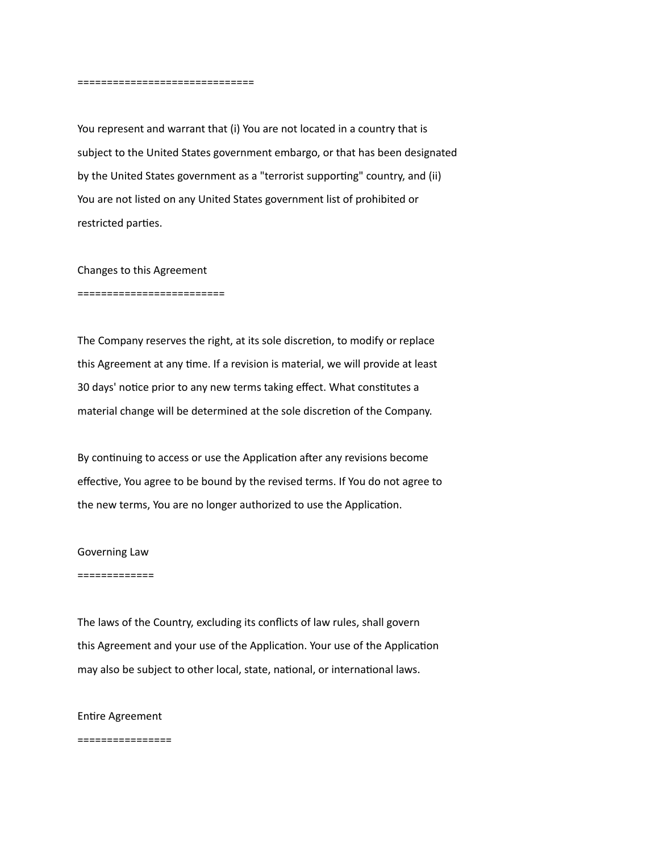==============================

You represent and warrant that (i) You are not located in a country that is subject to the United States government embargo, or that has been designated by the United States government as a "terrorist supporting" country, and (ii) You are not listed on any United States government list of prohibited or restricted parties.

Changes to this Agreement

=========================

The Company reserves the right, at its sole discretion, to modify or replace this Agreement at any time. If a revision is material, we will provide at least 30 days' notice prior to any new terms taking effect. What constitutes a material change will be determined at the sole discretion of the Company.

By continuing to access or use the Application after any revisions become effective, You agree to be bound by the revised terms. If You do not agree to the new terms, You are no longer authorized to use the Application.

Governing Law

=============

The laws of the Country, excluding its conflicts of law rules, shall govern this Agreement and your use of the Application. Your use of the Application may also be subject to other local, state, national, or international laws.

Entire Agreement

================